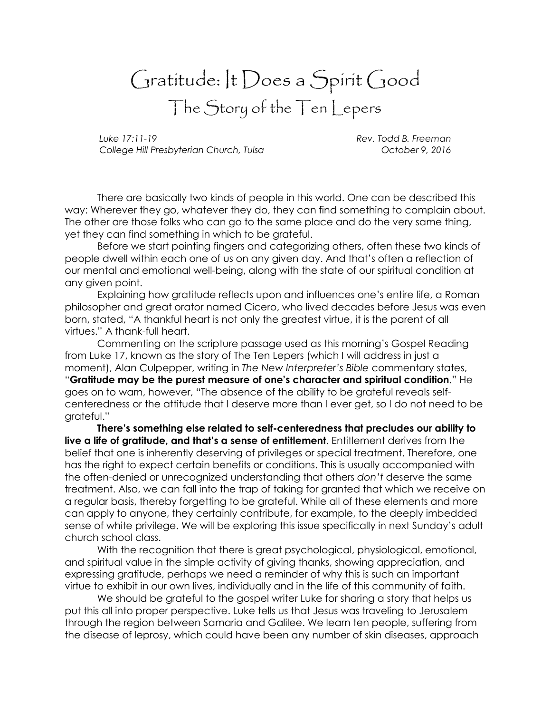## Gratitude: It Does a Spirit Good The Story of the Ten Lepers

Luke 17:11-19 Rev. Todd B. Freeman College Hill Presbyterian Church, Tulsa **Channel College Contract College 1**, 2016

There are basically two kinds of people in this world. One can be described this way: Wherever they go, whatever they do, they can find something to complain about. The other are those folks who can go to the same place and do the very same thing, yet they can find something in which to be grateful.

Before we start pointing fingers and categorizing others, often these two kinds of people dwell within each one of us on any given day. And that's often a reflection of our mental and emotional well-being, along with the state of our spiritual condition at any given point.

Explaining how gratitude reflects upon and influences one's entire life, a Roman philosopher and great orator named Cicero, who lived decades before Jesus was even born, stated, "A thankful heart is not only the greatest virtue, it is the parent of all virtues." A thank-full heart.

Commenting on the scripture passage used as this morning's Gospel Reading from Luke 17, known as the story of The Ten Lepers (which I will address in just a moment), Alan Culpepper, writing in The New Interpreter's Bible commentary states, "Gratitude may be the purest measure of one's character and spiritual condition." He goes on to warn, however, "The absence of the ability to be grateful reveals selfcenteredness or the attitude that I deserve more than I ever get, so I do not need to be grateful."

There's something else related to self-centeredness that precludes our ability to live a life of gratitude, and that's a sense of entitlement. Entitlement derives from the belief that one is inherently deserving of privileges or special treatment. Therefore, one has the right to expect certain benefits or conditions. This is usually accompanied with the often-denied or unrecognized understanding that others don't deserve the same treatment. Also, we can fall into the trap of taking for granted that which we receive on a regular basis, thereby forgetting to be grateful. While all of these elements and more can apply to anyone, they certainly contribute, for example, to the deeply imbedded sense of white privilege. We will be exploring this issue specifically in next Sunday's adult church school class.

With the recognition that there is great psychological, physiological, emotional, and spiritual value in the simple activity of giving thanks, showing appreciation, and expressing gratitude, perhaps we need a reminder of why this is such an important virtue to exhibit in our own lives, individually and in the life of this community of faith.

We should be grateful to the gospel writer Luke for sharing a story that helps us put this all into proper perspective. Luke tells us that Jesus was traveling to Jerusalem through the region between Samaria and Galilee. We learn ten people, suffering from the disease of leprosy, which could have been any number of skin diseases, approach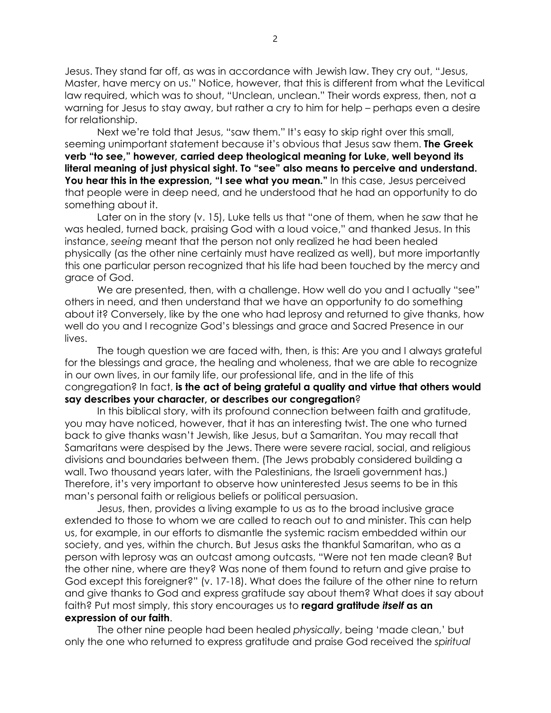Jesus. They stand far off, as was in accordance with Jewish law. They cry out, "Jesus, Master, have mercy on us." Notice, however, that this is different from what the Levitical law required, which was to shout, "Unclean, unclean." Their words express, then, not a warning for Jesus to stay away, but rather a cry to him for help – perhaps even a desire for relationship.

Next we're told that Jesus, "saw them." It's easy to skip right over this small, seeming unimportant statement because it's obvious that Jesus saw them. **The Greek** verb "to see," however, carried deep theological meaning for Luke, well beyond its literal meaning of just physical sight. To "see" also means to perceive and understand. You hear this in the expression, "I see what you mean." In this case, Jesus perceived that people were in deep need, and he understood that he had an opportunity to do something about it.

Later on in the story (v. 15), Luke tells us that "one of them, when he saw that he was healed, turned back, praising God with a loud voice," and thanked Jesus. In this instance, seeing meant that the person not only realized he had been healed physically (as the other nine certainly must have realized as well), but more importantly this one particular person recognized that his life had been touched by the mercy and grace of God.

We are presented, then, with a challenge. How well do you and I actually "see" others in need, and then understand that we have an opportunity to do something about it? Conversely, like by the one who had leprosy and returned to give thanks, how well do you and I recognize God's blessings and grace and Sacred Presence in our lives.

The tough question we are faced with, then, is this: Are you and I always grateful for the blessings and grace, the healing and wholeness, that we are able to recognize in our own lives, in our family life, our professional life, and in the life of this congregation? In fact, is the act of being grateful a quality and virtue that others would say describes your character, or describes our congregation?

In this biblical story, with its profound connection between faith and gratitude, you may have noticed, however, that it has an interesting twist. The one who turned back to give thanks wasn't Jewish, like Jesus, but a Samaritan. You may recall that Samaritans were despised by the Jews. There were severe racial, social, and religious divisions and boundaries between them. (The Jews probably considered building a wall. Two thousand years later, with the Palestinians, the Israeli government has.) Therefore, it's very important to observe how uninterested Jesus seems to be in this man's personal faith or religious beliefs or political persuasion.

Jesus, then, provides a living example to us as to the broad inclusive grace extended to those to whom we are called to reach out to and minister. This can help us, for example, in our efforts to dismantle the systemic racism embedded within our society, and yes, within the church. But Jesus asks the thankful Samaritan, who as a person with leprosy was an outcast among outcasts, "Were not ten made clean? But the other nine, where are they? Was none of them found to return and give praise to God except this foreigner?" (v. 17-18). What does the failure of the other nine to return and give thanks to God and express gratitude say about them? What does it say about faith? Put most simply, this story encourages us to **regard gratitude itself as an** expression of our faith.

The other nine people had been healed physically, being 'made clean,' but only the one who returned to express gratitude and praise God received the spiritual